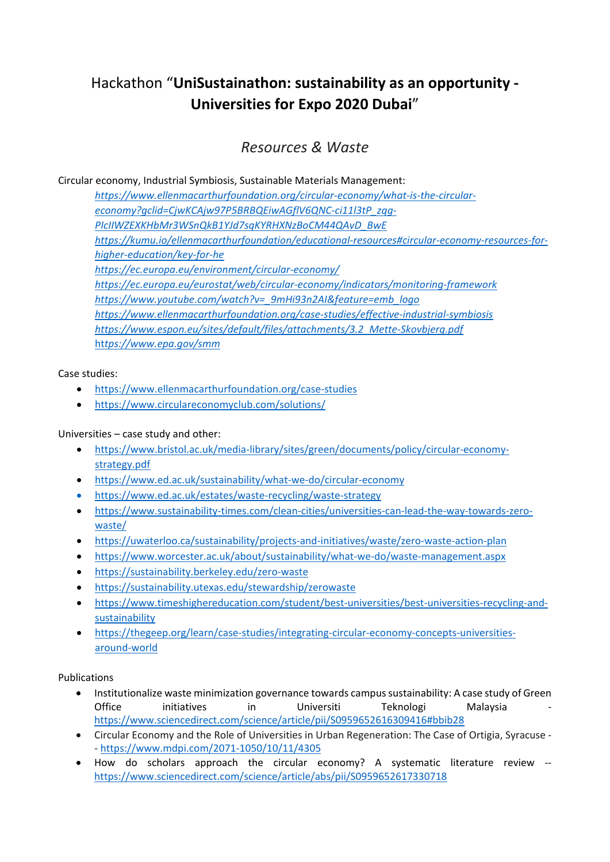# Hackathon "**UniSustainathon: sustainability as an opportunity ‐ Universities for Expo 2020 Dubai**"

# *Resources & Waste*

Circular economy, Industrial Symbiosis, Sustainable Materials Management:

*https://www.ellenmacarthurfoundation.org/circular‐economy/what‐is‐the‐circular‐ economy?gclid=CjwKCAjw97P5BRBQEiwAGflV6QNC‐ci11l3tP\_zqg‐ PIcIIWZEXKHbMr3WSnQkB1YJd7sqKYRHXNzBoCM44QAvD\_BwE https://kumu.io/ellenmacarthurfoundation/educational‐resources#circular‐economy‐resources‐for‐ higher‐education/key‐for‐he https://ec.europa.eu/environment/circular‐economy/ https://ec.europa.eu/eurostat/web/circular‐economy/indicators/monitoring‐framework https://www.youtube.com/watch?v=\_9mHi93n2AI&feature=emb\_logo https://www.ellenmacarthurfoundation.org/case‐studies/effective‐industrial‐symbiosis https://www.espon.eu/sites/default/files/attachments/3.2\_Mette‐Skovbjerg.pdf*  ht*tps://www.epa.gov/smm*

## Case studies:

- https://www.ellenmacarthurfoundation.org/case‐studies
- https://www.circulareconomyclub.com/solutions/

### Universities – case study and other:

- https://www.bristol.ac.uk/media‐library/sites/green/documents/policy/circular‐economy‐ strategy.pdf
- https://www.ed.ac.uk/sustainability/what‐we‐do/circular‐economy
- https://www.ed.ac.uk/estates/waste‐recycling/waste‐strategy
- https://www.sustainability-times.com/clean-cities/universities-can-lead-the-way-towards-zerowaste/
- https://uwaterloo.ca/sustainability/projects‐and‐initiatives/waste/zero‐waste‐action‐plan
- https://www.worcester.ac.uk/about/sustainability/what‐we‐do/waste‐management.aspx
- https://sustainability.berkeley.edu/zero‐waste
- https://sustainability.utexas.edu/stewardship/zerowaste
- https://www.timeshighereducation.com/student/best-universities/best-universities-recycling-andsustainability
- https://thegeep.org/learn/case‐studies/integrating‐circular‐economy‐concepts‐universities‐ around‐world

#### Publications

- Institutionalize waste minimization governance towards campus sustainability: A case study of Green Office initiatives in Universiti Teknologi Malaysia https://www.sciencedirect.com/science/article/pii/S0959652616309416#bbib28
- Circular Economy and the Role of Universities in Urban Regeneration: The Case of Ortigia, Syracuse ‐ ‐ https://www.mdpi.com/2071‐1050/10/11/4305
- How do scholars approach the circular economy? A systematic literature review -https://www.sciencedirect.com/science/article/abs/pii/S0959652617330718